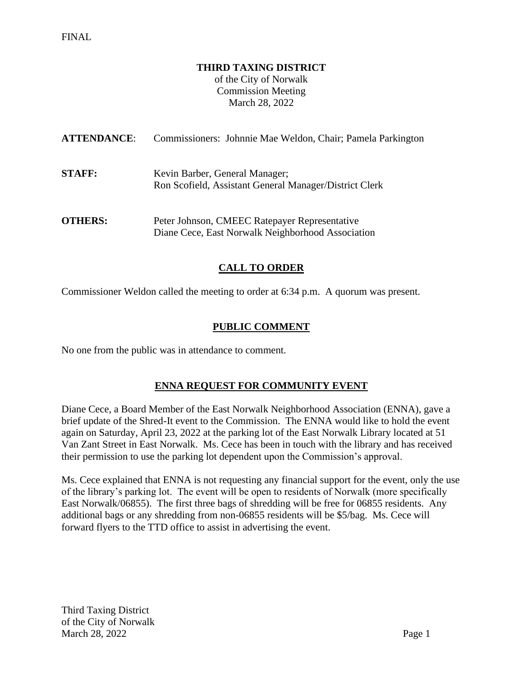#### **THIRD TAXING DISTRICT**

of the City of Norwalk Commission Meeting March 28, 2022

| <b>ATTENDANCE:</b> | Commissioners: Johnnie Mae Weldon, Chair; Pamela Parkington                                        |
|--------------------|----------------------------------------------------------------------------------------------------|
| <b>STAFF:</b>      | Kevin Barber, General Manager;<br>Ron Scofield, Assistant General Manager/District Clerk           |
| <b>OTHERS:</b>     | Peter Johnson, CMEEC Ratepayer Representative<br>Diane Cece, East Norwalk Neighborhood Association |

# **CALL TO ORDER**

Commissioner Weldon called the meeting to order at 6:34 p.m. A quorum was present.

## **PUBLIC COMMENT**

No one from the public was in attendance to comment.

## **ENNA REQUEST FOR COMMUNITY EVENT**

Diane Cece, a Board Member of the East Norwalk Neighborhood Association (ENNA), gave a brief update of the Shred-It event to the Commission. The ENNA would like to hold the event again on Saturday, April 23, 2022 at the parking lot of the East Norwalk Library located at 51 Van Zant Street in East Norwalk. Ms. Cece has been in touch with the library and has received their permission to use the parking lot dependent upon the Commission's approval.

Ms. Cece explained that ENNA is not requesting any financial support for the event, only the use of the library's parking lot. The event will be open to residents of Norwalk (more specifically East Norwalk/06855). The first three bags of shredding will be free for 06855 residents. Any additional bags or any shredding from non-06855 residents will be \$5/bag. Ms. Cece will forward flyers to the TTD office to assist in advertising the event.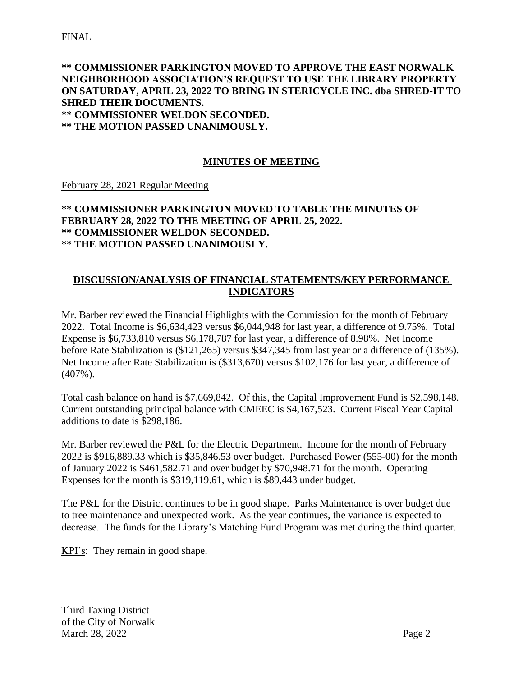# **\*\* COMMISSIONER PARKINGTON MOVED TO APPROVE THE EAST NORWALK NEIGHBORHOOD ASSOCIATION'S REQUEST TO USE THE LIBRARY PROPERTY ON SATURDAY, APRIL 23, 2022 TO BRING IN STERICYCLE INC. dba SHRED-IT TO SHRED THEIR DOCUMENTS. \*\* COMMISSIONER WELDON SECONDED.**

**\*\* THE MOTION PASSED UNANIMOUSLY.**

# **MINUTES OF MEETING**

February 28, 2021 Regular Meeting

# **\*\* COMMISSIONER PARKINGTON MOVED TO TABLE THE MINUTES OF FEBRUARY 28, 2022 TO THE MEETING OF APRIL 25, 2022. \*\* COMMISSIONER WELDON SECONDED. \*\* THE MOTION PASSED UNANIMOUSLY.**

## **DISCUSSION/ANALYSIS OF FINANCIAL STATEMENTS/KEY PERFORMANCE INDICATORS**

Mr. Barber reviewed the Financial Highlights with the Commission for the month of February 2022. Total Income is \$6,634,423 versus \$6,044,948 for last year, a difference of 9.75%. Total Expense is \$6,733,810 versus \$6,178,787 for last year, a difference of 8.98%. Net Income before Rate Stabilization is (\$121,265) versus \$347,345 from last year or a difference of (135%). Net Income after Rate Stabilization is (\$313,670) versus \$102,176 for last year, a difference of (407%).

Total cash balance on hand is \$7,669,842. Of this, the Capital Improvement Fund is \$2,598,148. Current outstanding principal balance with CMEEC is \$4,167,523. Current Fiscal Year Capital additions to date is \$298,186.

Mr. Barber reviewed the P&L for the Electric Department. Income for the month of February 2022 is \$916,889.33 which is \$35,846.53 over budget. Purchased Power (555-00) for the month of January 2022 is \$461,582.71 and over budget by \$70,948.71 for the month. Operating Expenses for the month is \$319,119.61, which is \$89,443 under budget.

The P&L for the District continues to be in good shape. Parks Maintenance is over budget due to tree maintenance and unexpected work. As the year continues, the variance is expected to decrease. The funds for the Library's Matching Fund Program was met during the third quarter.

KPI's: They remain in good shape.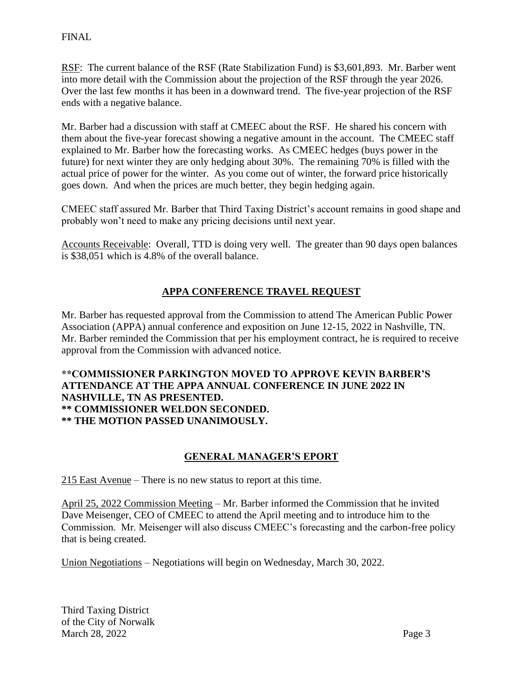## FINAL

RSF: The current balance of the RSF (Rate Stabilization Fund) is \$3,601,893. Mr. Barber went into more detail with the Commission about the projection of the RSF through the year 2026. Over the last few months it has been in a downward trend. The five-year projection of the RSF ends with a negative balance.

Mr. Barber had a discussion with staff at CMEEC about the RSF. He shared his concern with them about the five-year forecast showing a negative amount in the account. The CMEEC staff explained to Mr. Barber how the forecasting works. As CMEEC hedges (buys power in the future) for next winter they are only hedging about 30%. The remaining 70% is filled with the actual price of power for the winter. As you come out of winter, the forward price historically goes down. And when the prices are much better, they begin hedging again.

CMEEC staff assured Mr. Barber that Third Taxing District's account remains in good shape and probably won't need to make any pricing decisions until next year.

Accounts Receivable: Overall, TTD is doing very well. The greater than 90 days open balances is \$38,051 which is 4.8% of the overall balance.

# **APPA CONFERENCE TRAVEL REQUEST**

Mr. Barber has requested approval from the Commission to attend The American Public Power Association (APPA) annual conference and exposition on June 12-15, 2022 in Nashville, TN. Mr. Barber reminded the Commission that per his employment contract, he is required to receive approval from the Commission with advanced notice.

# **\*\*COMMISSIONER PARKINGTON MOVED TO APPROVE KEVIN BARBER'S ATTENDANCE AT THE APPA ANNUAL CONFERENCE IN JUNE 2022 IN NASHVILLE, TN AS PRESENTED. \*\* COMMISSIONER WELDON SECONDED. \*\* THE MOTION PASSED UNANIMOUSLY.**

## **GENERAL MANAGER'S EPORT**

215 East Avenue – There is no new status to report at this time.

April 25, 2022 Commission Meeting – Mr. Barber informed the Commission that he invited Dave Meisenger, CEO of CMEEC to attend the April meeting and to introduce him to the Commission. Mr. Meisenger will also discuss CMEEC's forecasting and the carbon-free policy that is being created.

Union Negotiations – Negotiations will begin on Wednesday, March 30, 2022.